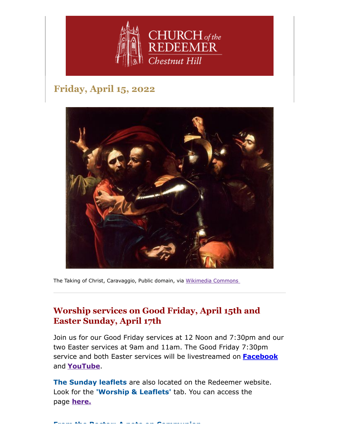

# **Friday, April 15, 2022**



The Taking of Christ, Caravaggio, Public domain, via [Wikimedia Commons](https://commons.wikimedia.org/wiki/File:The_Taking_of_Christ-Caravaggio_(c.1602).jpg)

## **Worship services on Good Friday, April 15th and Easter Sunday, April 17th**

Join us for our Good Friday services at 12 Noon and 7:30pm and our two Easter services at 9am and 11am. The Good Friday 7:30pm service and both Easter services will be livestreamed on **[Facebook](https://www.facebook.com/redeemerchestnuthill)** and **[YouTube](https://www.youtube.com/channel/UCuF2ATr93WfFYaj4XlyKKDw)**.

**The Sunday leaflets** are also located on the Redeemer website. Look for the **'Worship & Leaflets'** tab. You can access the page **[here.](https://www.redeemerchestnuthill.org/worship-services)**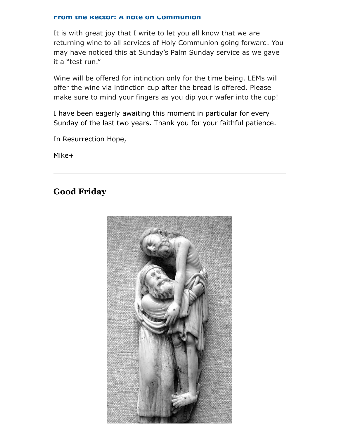#### **From the Rector: A note on Communion**

It is with great joy that I write to let you all know that we are returning wine to all services of Holy Communion going forward. You may have noticed this at Sunday's Palm Sunday service as we gave it a "test run."

Wine will be offered for intinction only for the time being. LEMs will offer the wine via intinction cup after the bread is offered. Please make sure to mind your fingers as you dip your wafer into the cup!

I have been eagerly awaiting this moment in particular for every Sunday of the last two years. Thank you for your faithful patience.

In Resurrection Hope,

Mike+

#### **Good Friday**

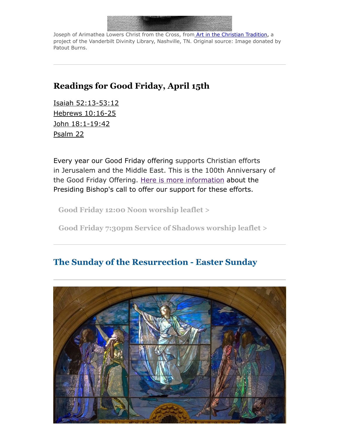

Joseph of Arimathea Lowers Christ from the Cross, from [Art in the Christian Tradition,](https://diglib.library.vanderbilt.edu/act-imagelink.pl?RC=57493) a project of the Vanderbilt Divinity Library, Nashville, TN. Original source: Image donated by Patout Burns.

### **Readings for Good Friday, April 15th**

[Isaiah 52:13-53:12](https://lectionarypage.net/YearABC_RCL/HolyWk/GoodFri_RCL.html#ot1) [Hebrews 10:16-25](https://lectionarypage.net/YearABC_RCL/HolyWk/GoodFri_RCL.html#nt1) [John 18:1-19:42](https://lectionarypage.net/YearABC_RCL/HolyWk/GoodFri_RCL.html#gsp1) [Psalm 22](https://lectionarypage.net/YearABC_RCL/HolyWk/GoodFri_RCL.html#ps1)

Every year our Good Friday offering supports Christian efforts in Jerusalem and the Middle East. This is the 100th Anniversary of the Good Friday Offering. [Here is more information](https://www.episcopalchurch.org/publicaffairs/presiding-bishop-michael-curry-calls-for-100th-anniversary-good-friday-offering/?mc_cid=05bcf301f1&mc_eid=d0e6007695) about the Presiding Bishop's call to offer our support for these efforts.

**[Good Friday 12:00 Noon worship leaflet >](https://drive.google.com/file/d/1frnJhvlyo7eWAHUhQAFwz6CzlGBShMDS/view?usp=sharing)**

**[Good Friday 7:30pm Service of Shadows worship leaflet >](https://drive.google.com/file/d/1ghVSM_NLhx7zAK-Uwv8aIwhIvx8H2KRn/view?usp=sharing)**

## **The Sunday of the Resurrection - Easter Sunday**

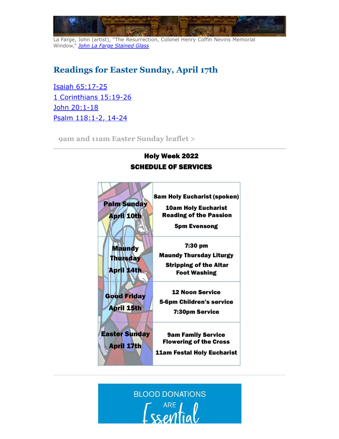

La Farge, John (artist), "The Resurrection, Colonel Henry Coffin Nevins Memorial Window," *[John La Farge Stained Glass](http://library.bc.edu/lafargeglass/items/show/126)*

# **Readings for Easter Sunday, April 17th**

[Isaiah 65:17-25](https://lectionarypage.net/YearC_RCL/Easter/CEasterPrin_RCL.html#ot2) [1 Corinthians 15:19-26](https://lectionarypage.net/YearC_RCL/Easter/CEasterPrin_RCL.html#nt1) [John 20:1-18](https://lectionarypage.net/YearC_RCL/Easter/CEasterPrin_RCL.html#gsp1) [Psalm 118:1-2, 14-24](https://lectionarypage.net/YearC_RCL/Easter/CEasterPrin_RCL.html#ps1)

**[9am and 11am Easter Sunday leaflet >](https://drive.google.com/file/d/1gll1QlBmpdioBMOyDwoTqwxJIYVqWyv3/view?usp=sharing)**

#### **Holy Week 2022 SCHEDULE OF SERVICES**



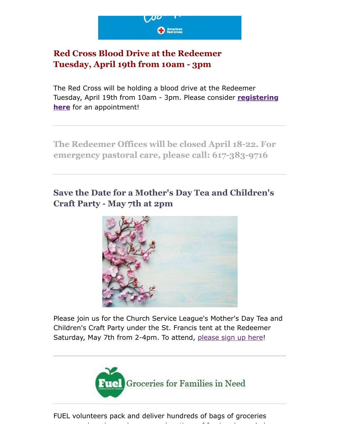

## **Red Cross Blood Drive at the Redeemer Tuesday, April 19th from 10am - 3pm**

The Red Cross will be holding a blood drive at the Redeemer [Tuesday, April 19th from 10am - 3pm. Please consider](https://www.redcrossblood.org/give.html/drive-results?zipSponsor=ChestnutHillRedeemer) **registering here** for an appointment!

**The Redeemer Offices will be closed April 18-22. For emergency pastoral care, please call: 617-383-9716**

# **Save the Date for a Mother's Day Tea and Children's Craft Party - May 7th at 2pm**



Please join us for the Church Service League's Mother's Day Tea and Children's Craft Party under the St. Francis tent at the Redeemer Saturday, May 7th from 2-4pm. To attend, [please sign up here](https://www.signupgenius.com/go/4090C4FACAA23A4FD0-church)!



k d l d ti f f d d h l

FUEL volunteers pack and deliver hundreds of bags of groceries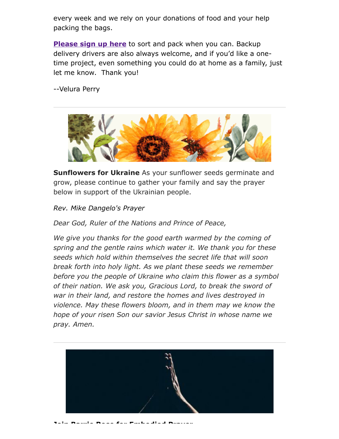every week and we rely on your donations of food and your help packing the bags.

**[Please sign up here](https://signup.com/go/FNGHQhR)** to sort and pack when you can. Backup delivery drivers are also always welcome, and if you'd like a onetime project, even something you could do at home as a family, just let me know. Thank you!

--Velura Perry



**Sunflowers for Ukraine** As your sunflower seeds germinate and grow, please continue to gather your family and say the prayer below in support of the Ukrainian people.

*Rev. Mike Dangelo's Prayer*

*Dear God, Ruler of the Nations and Prince of Peace,*

*We give you thanks for the good earth warmed by the coming of spring and the gentle rains which water it. We thank you for these seeds which hold within themselves the secret life that will soon break forth into holy light. As we plant these seeds we remember before you the people of Ukraine who claim this flower as a symbol of their nation. We ask you, Gracious Lord, to break the sword of war in their land, and restore the homes and lives destroyed in violence. May these flowers bloom, and in them may we know the hope of your risen Son our savior Jesus Christ in whose name we pray. Amen.*

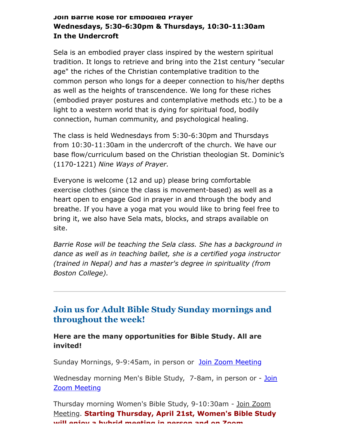#### **Join Barrie Rose for Embodied Prayer Wednesdays, 5:30-6:30pm & Thursdays, 10:30-11:30am In the Undercroft**

Sela is an embodied prayer class inspired by the western spiritual tradition. It longs to retrieve and bring into the 21st century "secular age" the riches of the Christian contemplative tradition to the common person who longs for a deeper connection to his/her depths as well as the heights of transcendence. We long for these riches (embodied prayer postures and contemplative methods etc.) to be a light to a western world that is dying for spiritual food, bodily connection, human community, and psychological healing.

The class is held Wednesdays from 5:30-6:30pm and Thursdays from 10:30-11:30am in the undercroft of the church. We have our base flow/curriculum based on the Christian theologian St. Dominic's (1170-1221) *Nine Ways of Prayer.*

Everyone is welcome (12 and up) please bring comfortable exercise clothes (since the class is movement-based) as well as a heart open to engage God in prayer in and through the body and breathe. If you have a yoga mat you would like to bring feel free to bring it, we also have Sela mats, blocks, and straps available on site.

*Barrie Rose will be teaching the Sela class. She has a background in dance as well as in teaching ballet, she is a certified yoga instructor (trained in Nepal) and has a master's degree in spirituality (from Boston College).*

#### **Join us for Adult Bible Study Sunday mornings and throughout the week!**

**Here are the many opportunities for Bible Study. All are invited!**

Sunday Mornings, 9-9:45am, in person or [Join Zoom Meeting](https://us02web.zoom.us/j/86566228912?pwd=aGxWTU1PU3Y3TDZsVTdmbXg2UnNvZz09)

[Wednesday morning Men's Bible Study, 7-8am,](https://us02web.zoom.us/j/89392200698?pwd=czIzYmlKT1JCRmkrdlBFM2lJaGdkZz09) in person or - Join Zoom Meeting

[Thursday morning Women's Bible Study, 9-10:30am - Join Zoom](https://us02web.zoom.us/j/82431832126?pwd=ZXBLQUFnL2haSEZyWll3b0R0MEpmUT09#success#success) Meeting. **Starting Thursday, April 21st, Women's Bible Study will enjoy a hybrid meeting in person and on Zoom**